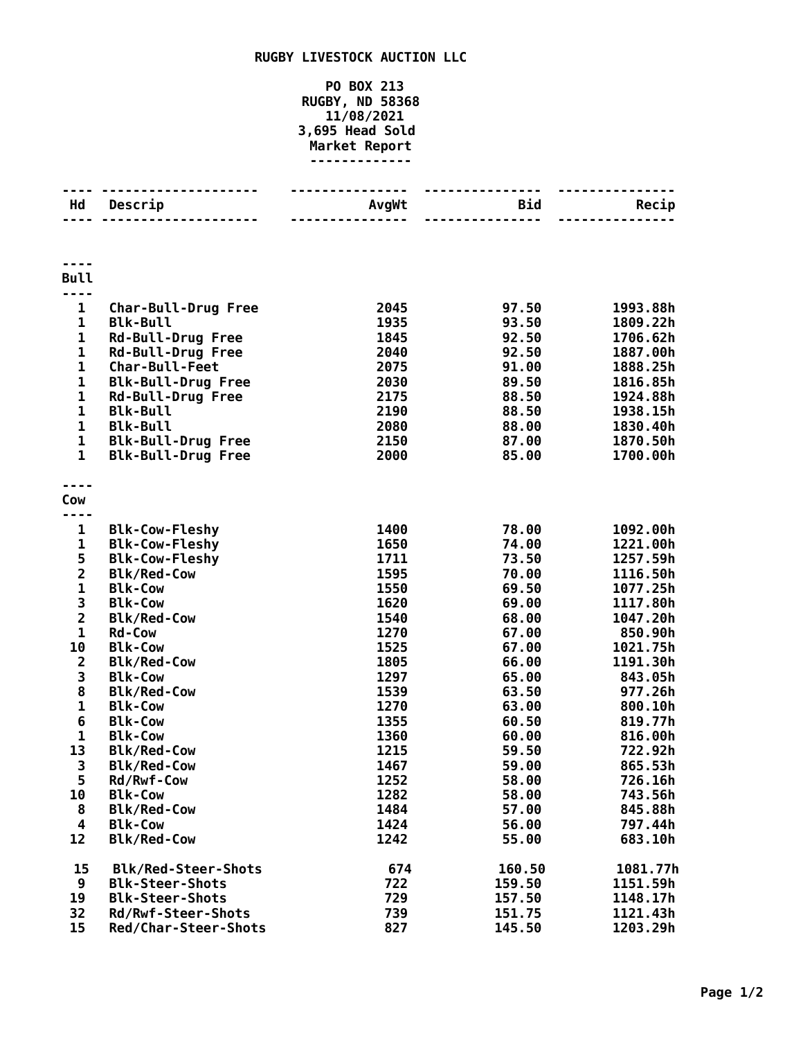## **RUGBY LIVESTOCK AUCTION LLC**

## **PO BOX 213 RUGBY, ND 58368 11/08/2021 3,695 Head Sold Market Report -------------**

| Hd                      | Descrip                    | AvgWt | <b>Bid</b> | Recip    |
|-------------------------|----------------------------|-------|------------|----------|
|                         |                            |       |            |          |
| <b>Bull</b>             |                            |       |            |          |
| ---<br>$\mathbf{1}$     | <b>Char-Bull-Drug Free</b> | 2045  | 97.50      | 1993.88h |
| $\mathbf 1$             | <b>Blk-Bull</b>            | 1935  | 93.50      | 1809.22h |
| $\mathbf 1$             | <b>Rd-Bull-Drug Free</b>   | 1845  | 92.50      | 1706.62h |
| $\mathbf{1}$            | <b>Rd-Bull-Drug Free</b>   | 2040  | 92.50      | 1887.00h |
| $\mathbf{1}$            | Char-Bull-Feet             | 2075  | 91.00      | 1888.25h |
| $\mathbf{1}$            | <b>Blk-Bull-Drug Free</b>  | 2030  | 89.50      | 1816.85h |
| $\mathbf{1}$            | <b>Rd-Bull-Drug Free</b>   | 2175  | 88.50      | 1924.88h |
| $\mathbf 1$             | <b>Blk-Bull</b>            | 2190  | 88.50      | 1938.15h |
| 1                       | <b>Blk-Bull</b>            | 2080  | 88.00      | 1830.40h |
| $\mathbf 1$             | <b>Blk-Bull-Drug Free</b>  | 2150  | 87.00      | 1870.50h |
| $\mathbf{1}$            | <b>Blk-Bull-Drug Free</b>  | 2000  | 85.00      | 1700.00h |
|                         |                            |       |            |          |
| Cow                     |                            |       |            |          |
| $\mathbf{1}$            | <b>Blk-Cow-Fleshy</b>      | 1400  | 78.00      | 1092.00h |
| $\mathbf{1}$            | <b>Blk-Cow-Fleshy</b>      | 1650  | 74.00      | 1221.00h |
|                         | <b>Blk-Cow-Fleshy</b>      | 1711  | 73.50      | 1257.59h |
| $\frac{5}{2}$           | <b>Blk/Red-Cow</b>         | 1595  | 70.00      | 1116.50h |
| $\mathbf{1}$            | <b>Blk-Cow</b>             | 1550  | 69.50      | 1077.25h |
| 3                       | <b>Blk-Cow</b>             | 1620  | 69.00      | 1117.80h |
| $\overline{\mathbf{c}}$ | <b>Blk/Red-Cow</b>         | 1540  | 68.00      | 1047.20h |
| $\mathbf 1$             | <b>Rd-Cow</b>              | 1270  | 67.00      | 850.90h  |
| 10                      | <b>Blk-Cow</b>             | 1525  | 67.00      | 1021.75h |
| $\overline{\mathbf{c}}$ | <b>Blk/Red-Cow</b>         | 1805  | 66.00      | 1191.30h |
| 3                       | <b>Blk-Cow</b>             | 1297  | 65.00      | 843.05h  |
| 8                       | <b>Blk/Red-Cow</b>         | 1539  | 63.50      | 977.26h  |
| $\mathbf{1}$            | <b>Blk-Cow</b>             | 1270  | 63.00      | 800.10h  |
| $\bf 6$                 | <b>Blk-Cow</b>             | 1355  | 60.50      | 819.77h  |
| $\mathbf{1}$            | <b>Blk-Cow</b>             | 1360  | 60.00      | 816.00h  |
| 13                      | <b>Blk/Red-Cow</b>         | 1215  | 59.50      | 722.92h  |
| 3                       | <b>Blk/Red-Cow</b>         | 1467  | 59.00      | 865.53h  |
| 5                       | Rd/Rwf-Cow                 | 1252  | 58.00      | 726.16h  |
| 10                      | <b>Blk-Cow</b>             | 1282  | 58.00      | 743.56h  |
| 8                       | <b>Blk/Red-Cow</b>         | 1484  | 57.00      | 845.88h  |
| 4                       | <b>Blk-Cow</b>             | 1424  | 56.00      | 797.44h  |
| 12                      | <b>Blk/Red-Cow</b>         | 1242  | 55.00      | 683.10h  |
| 15                      | <b>Blk/Red-Steer-Shots</b> | 674   | 160.50     | 1081.77h |
| 9                       | <b>Blk-Steer-Shots</b>     | 722   | 159.50     | 1151.59h |
| 19                      | <b>Blk-Steer-Shots</b>     | 729   | 157.50     | 1148.17h |
| 32                      | Rd/Rwf-Steer-Shots         | 739   | 151.75     | 1121.43h |
| 15                      | Red/Char-Steer-Shots       | 827   | 145.50     | 1203.29h |